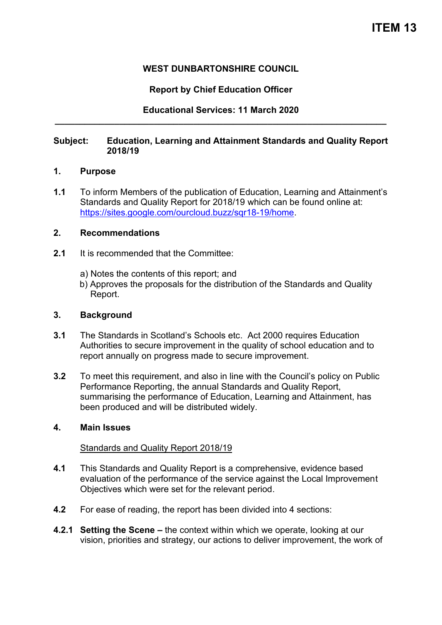# **WEST DUNBARTONSHIRE COUNCIL**

# **Report by Chief Education Officer**

**Educational Services: 11 March 2020 \_\_\_\_\_\_\_\_\_\_\_\_\_\_\_\_\_\_\_\_\_\_\_\_\_\_\_\_\_\_\_\_\_\_\_\_\_\_\_\_\_\_\_\_\_\_\_\_\_\_\_\_\_\_\_\_\_\_\_\_\_\_\_\_\_\_\_** 

### **Subject: Education, Learning and Attainment Standards and Quality Report 2018/19**

#### **1. Purpose**

**1.1** To inform Members of the publication of Education, Learning and Attainment's Standards and Quality Report for 2018/19 which can be found online at: [https://sites.google.com/ourcloud.buzz/sqr18-19/home.](https://sites.google.com/ourcloud.buzz/sqr18-19/home)

## **2. Recommendations**

- **2.1** It is recommended that the Committee:
	- a) Notes the contents of this report; and
	- b) Approves the proposals for the distribution of the Standards and Quality Report.

#### **3. Background**

- **3.1** The Standards in Scotland's Schools etc. Act 2000 requires Education Authorities to secure improvement in the quality of school education and to report annually on progress made to secure improvement.
- **3.2** To meet this requirement, and also in line with the Council's policy on Public Performance Reporting, the annual Standards and Quality Report, summarising the performance of Education, Learning and Attainment, has been produced and will be distributed widely.

### **4. Main Issues**

### Standards and Quality Report 2018/19

- **4.1** This Standards and Quality Report is a comprehensive, evidence based evaluation of the performance of the service against the Local Improvement Objectives which were set for the relevant period.
- **4.2** For ease of reading, the report has been divided into 4 sections:
- **4.2.1 Setting the Scene –** the context within which we operate, looking at our vision, priorities and strategy, our actions to deliver improvement, the work of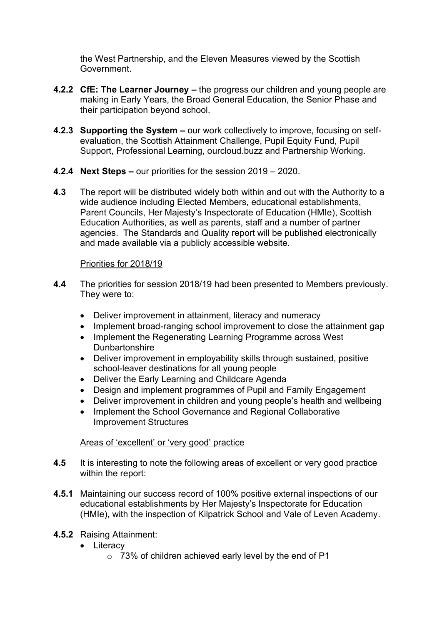the West Partnership, and the Eleven Measures viewed by the Scottish Government.

- **4.2.2 CfE: The Learner Journey –** the progress our children and young people are making in Early Years, the Broad General Education, the Senior Phase and their participation beyond school.
- **4.2.3 Supporting the System –** our work collectively to improve, focusing on selfevaluation, the Scottish Attainment Challenge, Pupil Equity Fund, Pupil Support, Professional Learning, ourcloud.buzz and Partnership Working.
- **4.2.4 Next Steps –** our priorities for the session 2019 2020.
- **4.3** The report will be distributed widely both within and out with the Authority to a wide audience including Elected Members, educational establishments, Parent Councils, Her Majesty's Inspectorate of Education (HMIe), Scottish Education Authorities, as well as parents, staff and a number of partner agencies. The Standards and Quality report will be published electronically and made available via a publicly accessible website.

# Priorities for 2018/19

- **4.4** The priorities for session 2018/19 had been presented to Members previously. They were to:
	- Deliver improvement in attainment, literacy and numeracy
	- Implement broad-ranging school improvement to close the attainment gap
	- Implement the Regenerating Learning Programme across West **Dunbartonshire**
	- Deliver improvement in employability skills through sustained, positive school-leaver destinations for all young people
	- Deliver the Early Learning and Childcare Agenda
	- Design and implement programmes of Pupil and Family Engagement
	- Deliver improvement in children and young people's health and wellbeing
	- Implement the School Governance and Regional Collaborative Improvement Structures

### Areas of 'excellent' or 'very good' practice

- **4.5** It is interesting to note the following areas of excellent or very good practice within the report:
- **4.5.1** Maintaining our success record of 100% positive external inspections of our educational establishments by Her Majesty's Inspectorate for Education (HMIe), with the inspection of Kilpatrick School and Vale of Leven Academy.
- **4.5.2** Raising Attainment:
	- Literacy
		- o 73% of children achieved early level by the end of P1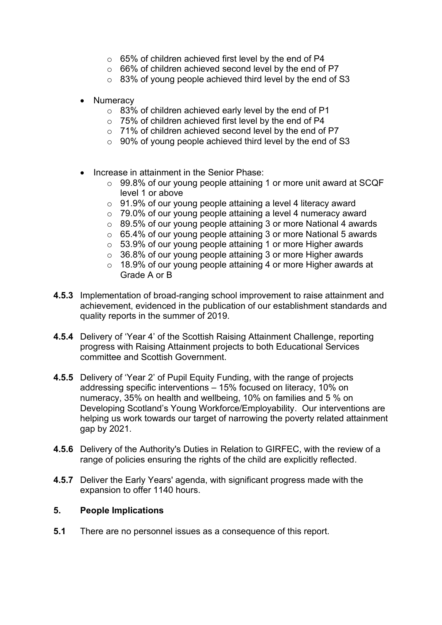- o 65% of children achieved first level by the end of P4
- o 66% of children achieved second level by the end of P7
- o 83% of young people achieved third level by the end of S3
- **Numeracy** 
	- o 83% of children achieved early level by the end of P1
	- o 75% of children achieved first level by the end of P4
	- o 71% of children achieved second level by the end of P7
	- $\circ$  90% of young people achieved third level by the end of S3
- Increase in attainment in the Senior Phase:
	- o 99.8% of our young people attaining 1 or more unit award at SCQF level 1 or above
	- $\circ$  91.9% of our young people attaining a level 4 literacy award
	- o 79.0% of our young people attaining a level 4 numeracy award
	- o 89.5% of our young people attaining 3 or more National 4 awards
	- o 65.4% of our young people attaining 3 or more National 5 awards
	- o 53.9% of our young people attaining 1 or more Higher awards
	- o 36.8% of our young people attaining 3 or more Higher awards
	- o 18.9% of our young people attaining 4 or more Higher awards at Grade A or B
- **4.5.3** Implementation of broad-ranging school improvement to raise attainment and achievement, evidenced in the publication of our establishment standards and quality reports in the summer of 2019.
- **4.5.4** Delivery of 'Year 4' of the Scottish Raising Attainment Challenge, reporting progress with Raising Attainment projects to both Educational Services committee and Scottish Government.
- **4.5.5** Delivery of 'Year 2' of Pupil Equity Funding, with the range of projects addressing specific interventions – 15% focused on literacy, 10% on numeracy, 35% on health and wellbeing, 10% on families and 5 % on Developing Scotland's Young Workforce/Employability. Our interventions are helping us work towards our target of narrowing the poverty related attainment gap by 2021.
- **4.5.6** Delivery of the Authority's Duties in Relation to GIRFEC, with the review of a range of policies ensuring the rights of the child are explicitly reflected.
- **4.5.7** Deliver the Early Years' agenda, with significant progress made with the expansion to offer 1140 hours.

### **5. People Implications**

**5.1** There are no personnel issues as a consequence of this report.